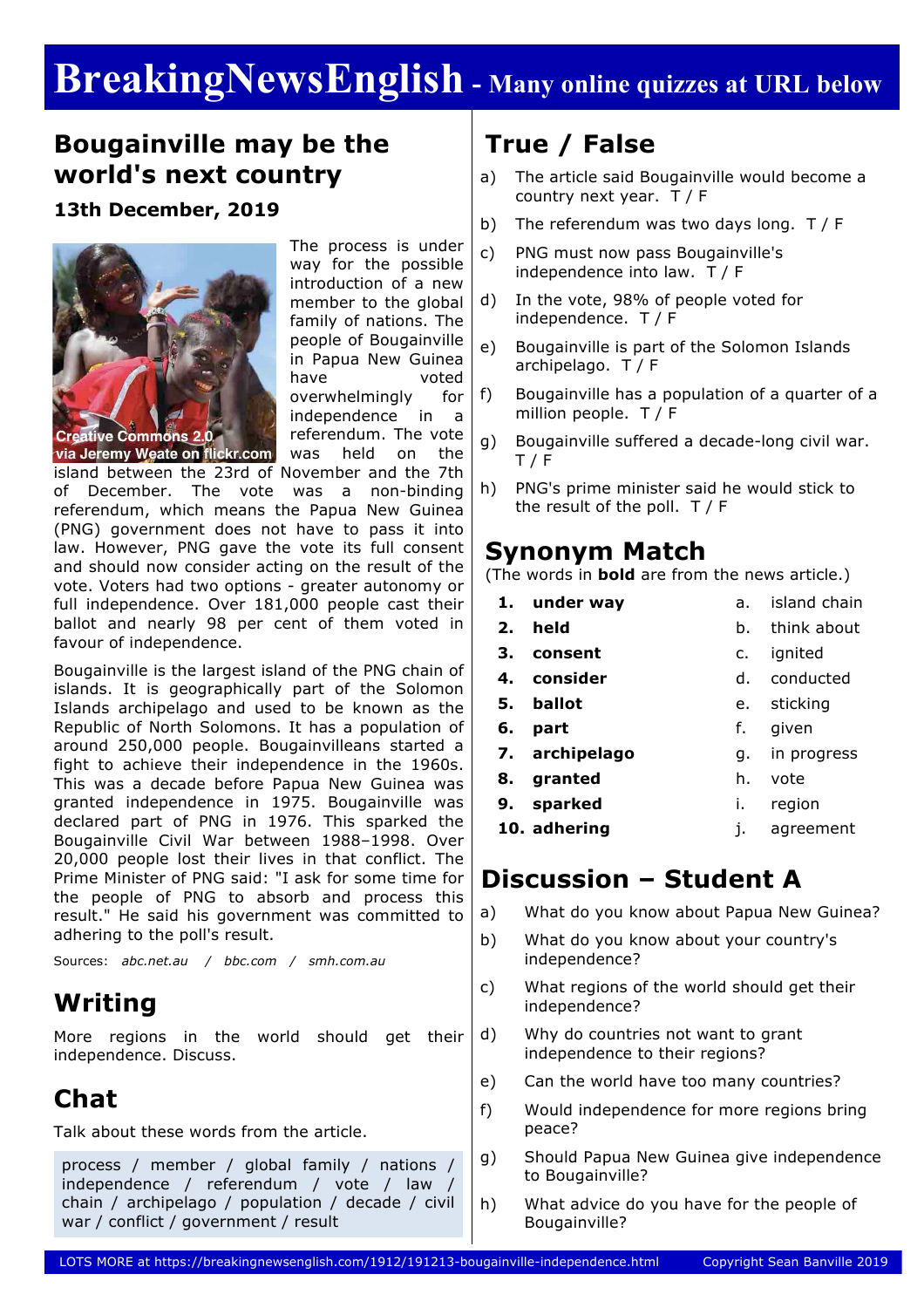# **BreakingNewsEnglish - Many online quizzes at URL below**

### **Bougainville may be the world's next country**

**13th December, 2019**



The process is under way for the possible introduction of a new member to the global family of nations. The people of Bougainville in Papua New Guinea have voted overwhelmingly for independence in a referendum. The vote was held on the

island between the 23rd of November and the 7th

of December. The vote was a non-binding referendum, which means the Papua New Guinea (PNG) government does not have to pass it into law. However, PNG gave the vote its full consent and should now consider acting on the result of the vote. Voters had two options - greater autonomy or full independence. Over 181,000 people cast their ballot and nearly 98 per cent of them voted in favour of independence.

Bougainville is the largest island of the PNG chain of islands. It is geographically part of the Solomon Islands archipelago and used to be known as the Republic of North Solomons. It has a population of around 250,000 people. Bougainvilleans started a fight to achieve their independence in the 1960s. This was a decade before Papua New Guinea was granted independence in 1975. Bougainville was declared part of PNG in 1976. This sparked the Bougainville Civil War between 1988–1998. Over 20,000 people lost their lives in that conflict. The Prime Minister of PNG said: "I ask for some time for the people of PNG to absorb and process this result." He said his government was committed to adhering to the poll's result.

Sources: *abc.net.au / bbc.com / smh.com.au*

## **Writing**

More regions in the world should get their independence. Discuss.

# **Chat**

Talk about these words from the article.

process / member / global family / nations / independence / referendum / vote / law / chain / archipelago / population / decade / civil war / conflict / government / result

# **True / False**

- a) The article said Bougainville would become a country next year. T / F
- b) The referendum was two days long. T / F
- c) PNG must now pass Bougainville's independence into law. T / F
- d) In the vote, 98% of people voted for independence. T / F
- e) Bougainville is part of the Solomon Islands archipelago. T / F
- f) Bougainville has a population of a quarter of a million people. T / F
- g) Bougainville suffered a decade-long civil war. T / F
- h) PNG's prime minister said he would stick to the result of the poll.  $T / F$

#### **Synonym Match**

(The words in **bold** are from the news article.)

- **1. under way**
- **2. held**
	-
- b. think about

a. island chain

g. in progress

h. vote i. region

- **3. consent**
- c. ignited d. conducted
- **4. consider**
- **5. ballot** e. sticking
- **6. part** f. given
- **7. archipelago**
- **8. granted**
- **9. sparked**
- **10. adhering** j. agreement

## **Discussion – Student A**

- a) What do you know about Papua New Guinea?
- b) What do you know about your country's independence?
- c) What regions of the world should get their independence?
- d) Why do countries not want to grant independence to their regions?
- e) Can the world have too many countries?
- f) Would independence for more regions bring peace?
- g) Should Papua New Guinea give independence to Bougainville?
- h) What advice do you have for the people of Bougainville?